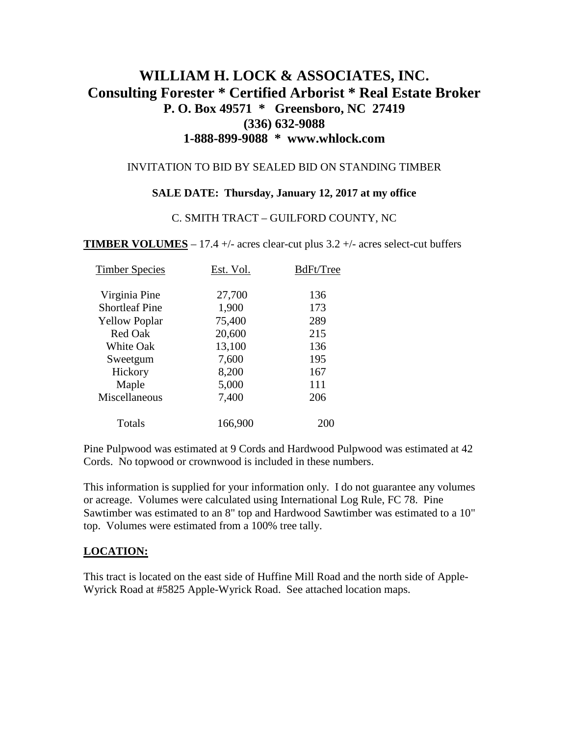# **WILLIAM H. LOCK & ASSOCIATES, INC. Consulting Forester \* Certified Arborist \* Real Estate Broker P. O. Box 49571 \* Greensboro, NC 27419 (336) 632-9088 1-888-899-9088 \* www.whlock.com**

#### INVITATION TO BID BY SEALED BID ON STANDING TIMBER

### **SALE DATE: Thursday, January 12, 2017 at my office**

#### C. SMITH TRACT – GUILFORD COUNTY, NC

**TIMBER VOLUMES** – 17.4 +/- acres clear-cut plus  $3.2$  +/- acres select-cut buffers

| Timber Species        | Est. Vol. | BdFt/Tree |
|-----------------------|-----------|-----------|
| Virginia Pine         | 27,700    | 136       |
| <b>Shortleaf Pine</b> | 1,900     | 173       |
| <b>Yellow Poplar</b>  | 75,400    | 289       |
| <b>Red Oak</b>        | 20,600    | 215       |
| <b>White Oak</b>      | 13,100    | 136       |
| Sweetgum              | 7,600     | 195       |
| Hickory               | 8,200     | 167       |
| Maple                 | 5,000     | 111       |
| Miscellaneous         | 7,400     | 206       |
| Totals                | 166,900   |           |

Pine Pulpwood was estimated at 9 Cords and Hardwood Pulpwood was estimated at 42 Cords. No topwood or crownwood is included in these numbers.

This information is supplied for your information only. I do not guarantee any volumes or acreage. Volumes were calculated using International Log Rule, FC 78. Pine Sawtimber was estimated to an 8" top and Hardwood Sawtimber was estimated to a 10" top. Volumes were estimated from a 100% tree tally.

### **LOCATION:**

This tract is located on the east side of Huffine Mill Road and the north side of Apple-Wyrick Road at #5825 Apple-Wyrick Road. See attached location maps.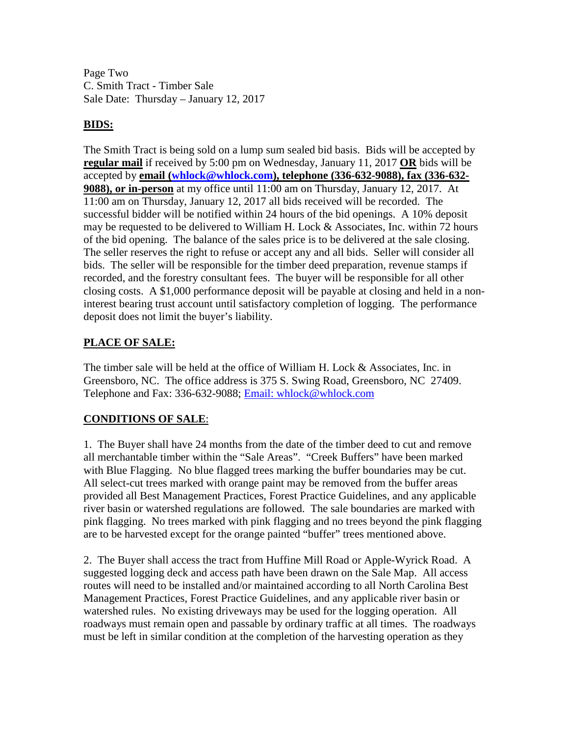Page Two C. Smith Tract - Timber Sale Sale Date: Thursday – January 12, 2017

### **BIDS:**

The Smith Tract is being sold on a lump sum sealed bid basis. Bids will be accepted by **regular mail** if received by 5:00 pm on Wednesday, January 11, 2017 **OR** bids will be accepted by **email [\(whlock@whlock.com\)](mailto:whlock@whlock.com), telephone (336-632-9088), fax (336-632- 9088), or in-person** at my office until 11:00 am on Thursday, January 12, 2017. At 11:00 am on Thursday, January 12, 2017 all bids received will be recorded. The successful bidder will be notified within 24 hours of the bid openings. A 10% deposit may be requested to be delivered to William H. Lock & Associates, Inc. within 72 hours of the bid opening. The balance of the sales price is to be delivered at the sale closing. The seller reserves the right to refuse or accept any and all bids. Seller will consider all bids. The seller will be responsible for the timber deed preparation, revenue stamps if recorded, and the forestry consultant fees. The buyer will be responsible for all other closing costs. A \$1,000 performance deposit will be payable at closing and held in a noninterest bearing trust account until satisfactory completion of logging. The performance deposit does not limit the buyer's liability.

## **PLACE OF SALE:**

The timber sale will be held at the office of William H. Lock & Associates, Inc. in Greensboro, NC. The office address is 375 S. Swing Road, Greensboro, NC 27409. Telephone and Fax: 336-632-9088; Email: whlock@whlock.com

# **CONDITIONS OF SALE**:

1. The Buyer shall have 24 months from the date of the timber deed to cut and remove all merchantable timber within the "Sale Areas". "Creek Buffers" have been marked with Blue Flagging. No blue flagged trees marking the buffer boundaries may be cut. All select-cut trees marked with orange paint may be removed from the buffer areas provided all Best Management Practices, Forest Practice Guidelines, and any applicable river basin or watershed regulations are followed. The sale boundaries are marked with pink flagging. No trees marked with pink flagging and no trees beyond the pink flagging are to be harvested except for the orange painted "buffer" trees mentioned above.

2. The Buyer shall access the tract from Huffine Mill Road or Apple-Wyrick Road. A suggested logging deck and access path have been drawn on the Sale Map. All access routes will need to be installed and/or maintained according to all North Carolina Best Management Practices, Forest Practice Guidelines, and any applicable river basin or watershed rules. No existing driveways may be used for the logging operation. All roadways must remain open and passable by ordinary traffic at all times. The roadways must be left in similar condition at the completion of the harvesting operation as they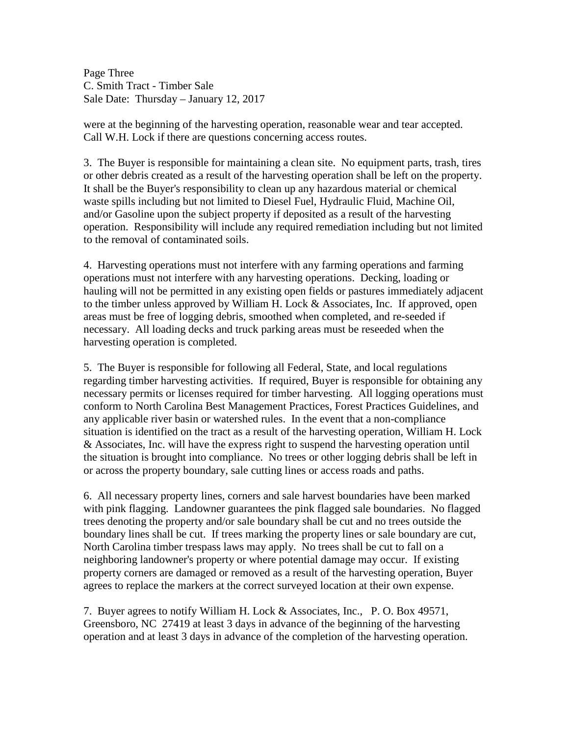Page Three C. Smith Tract - Timber Sale Sale Date: Thursday – January 12, 2017

were at the beginning of the harvesting operation, reasonable wear and tear accepted. Call W.H. Lock if there are questions concerning access routes.

3. The Buyer is responsible for maintaining a clean site. No equipment parts, trash, tires or other debris created as a result of the harvesting operation shall be left on the property. It shall be the Buyer's responsibility to clean up any hazardous material or chemical waste spills including but not limited to Diesel Fuel, Hydraulic Fluid, Machine Oil, and/or Gasoline upon the subject property if deposited as a result of the harvesting operation. Responsibility will include any required remediation including but not limited to the removal of contaminated soils.

4. Harvesting operations must not interfere with any farming operations and farming operations must not interfere with any harvesting operations. Decking, loading or hauling will not be permitted in any existing open fields or pastures immediately adjacent to the timber unless approved by William H. Lock & Associates, Inc. If approved, open areas must be free of logging debris, smoothed when completed, and re-seeded if necessary. All loading decks and truck parking areas must be reseeded when the harvesting operation is completed.

5. The Buyer is responsible for following all Federal, State, and local regulations regarding timber harvesting activities. If required, Buyer is responsible for obtaining any necessary permits or licenses required for timber harvesting. All logging operations must conform to North Carolina Best Management Practices, Forest Practices Guidelines, and any applicable river basin or watershed rules. In the event that a non-compliance situation is identified on the tract as a result of the harvesting operation, William H. Lock & Associates, Inc. will have the express right to suspend the harvesting operation until the situation is brought into compliance. No trees or other logging debris shall be left in or across the property boundary, sale cutting lines or access roads and paths.

6. All necessary property lines, corners and sale harvest boundaries have been marked with pink flagging. Landowner guarantees the pink flagged sale boundaries. No flagged trees denoting the property and/or sale boundary shall be cut and no trees outside the boundary lines shall be cut. If trees marking the property lines or sale boundary are cut, North Carolina timber trespass laws may apply. No trees shall be cut to fall on a neighboring landowner's property or where potential damage may occur. If existing property corners are damaged or removed as a result of the harvesting operation, Buyer agrees to replace the markers at the correct surveyed location at their own expense.

7. Buyer agrees to notify William H. Lock & Associates, Inc., P. O. Box 49571, Greensboro, NC 27419 at least 3 days in advance of the beginning of the harvesting operation and at least 3 days in advance of the completion of the harvesting operation.